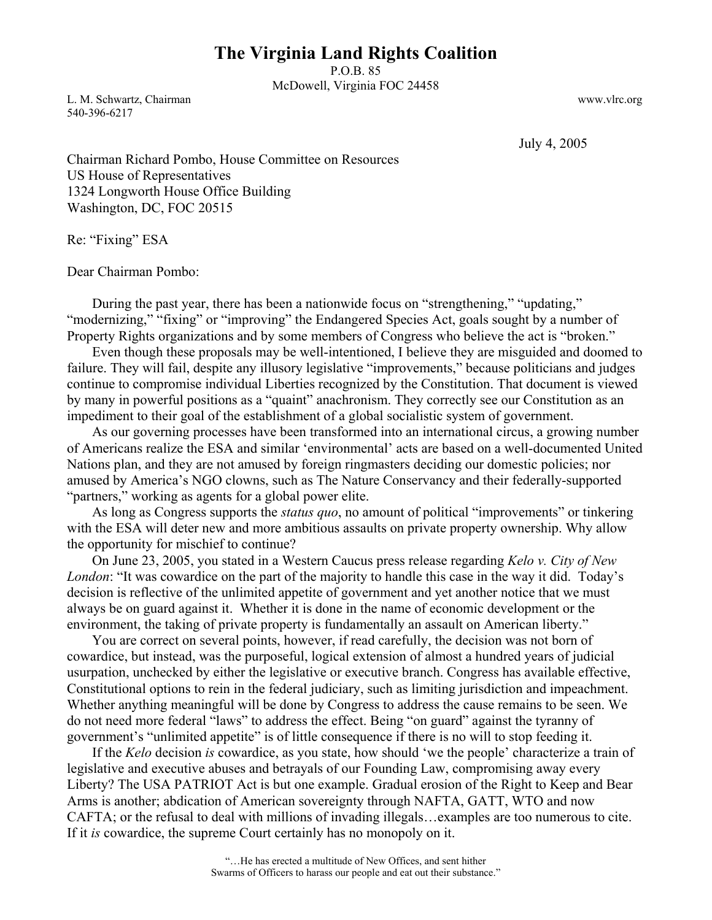## **The Virginia Land Rights Coalition**

P.O.B. 85 McDowell, Virginia FOC 24458

L. M. Schwartz, Chairman www.vlrc.org 540-396-6217

July 4, 2005

Chairman Richard Pombo, House Committee on Resources US House of Representatives 1324 Longworth House Office Building Washington, DC, FOC 20515

Re: "Fixing" ESA

Dear Chairman Pombo:

During the past year, there has been a nationwide focus on "strengthening," "updating," "modernizing," "fixing" or "improving" the Endangered Species Act, goals sought by a number of Property Rights organizations and by some members of Congress who believe the act is "broken."

 Even though these proposals may be well-intentioned, I believe they are misguided and doomed to failure. They will fail, despite any illusory legislative "improvements," because politicians and judges continue to compromise individual Liberties recognized by the Constitution. That document is viewed by many in powerful positions as a "quaint" anachronism. They correctly see our Constitution as an impediment to their goal of the establishment of a global socialistic system of government.

 As our governing processes have been transformed into an international circus, a growing number of Americans realize the ESA and similar 'environmental' acts are based on a well-documented United Nations plan, and they are not amused by foreign ringmasters deciding our domestic policies; nor amused by America's NGO clowns, such as The Nature Conservancy and their federally-supported "partners," working as agents for a global power elite.

 As long as Congress supports the *status quo*, no amount of political "improvements" or tinkering with the ESA will deter new and more ambitious assaults on private property ownership. Why allow the opportunity for mischief to continue?

 On June 23, 2005, you stated in a Western Caucus press release regarding *Kelo v. City of New London*: "It was cowardice on the part of the majority to handle this case in the way it did. Today's decision is reflective of the unlimited appetite of government and yet another notice that we must always be on guard against it. Whether it is done in the name of economic development or the environment, the taking of private property is fundamentally an assault on American liberty."

 You are correct on several points, however, if read carefully, the decision was not born of cowardice, but instead, was the purposeful, logical extension of almost a hundred years of judicial usurpation, unchecked by either the legislative or executive branch. Congress has available effective, Constitutional options to rein in the federal judiciary, such as limiting jurisdiction and impeachment. Whether anything meaningful will be done by Congress to address the cause remains to be seen. We do not need more federal "laws" to address the effect. Being "on guard" against the tyranny of government's "unlimited appetite" is of little consequence if there is no will to stop feeding it.

 If the *Kelo* decision *is* cowardice, as you state, how should 'we the people' characterize a train of legislative and executive abuses and betrayals of our Founding Law, compromising away every Liberty? The USA PATRIOT Act is but one example. Gradual erosion of the Right to Keep and Bear Arms is another; abdication of American sovereignty through NAFTA, GATT, WTO and now CAFTA; or the refusal to deal with millions of invading illegals…examples are too numerous to cite. If it *is* cowardice, the supreme Court certainly has no monopoly on it.